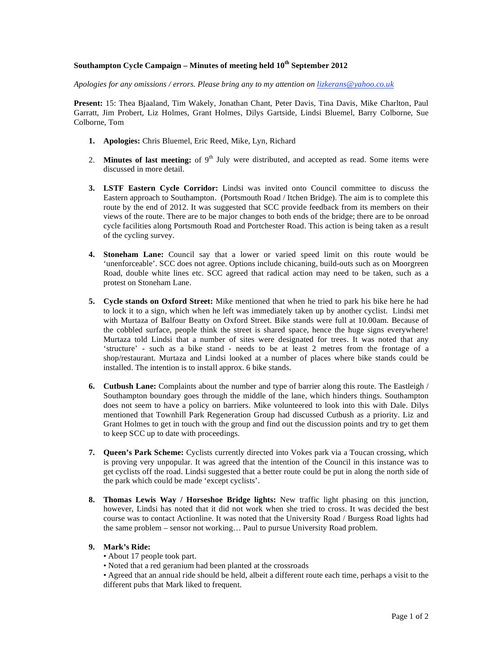### **Southampton Cycle Campaign – Minutes of meeting held 10th September 2012**

*Apologies for any omissions / errors. Please bring any to my attention on lizkerans@yahoo.co.uk*

**Present:** 15: Thea Bjaaland, Tim Wakely, Jonathan Chant, Peter Davis, Tina Davis, Mike Charlton, Paul Garratt, Jim Probert, Liz Holmes, Grant Holmes, Dilys Gartside, Lindsi Bluemel, Barry Colborne, Sue Colborne, Tom

- **1. Apologies:** Chris Bluemel, Eric Reed, Mike, Lyn, Richard
- 2. **Minutes of last meeting:** of 9<sup>th</sup> July were distributed, and accepted as read. Some items were discussed in more detail.
- **3. LSTF Eastern Cycle Corridor:** Lindsi was invited onto Council committee to discuss the Eastern approach to Southampton. (Portsmouth Road / Itchen Bridge). The aim is to complete this route by the end of 2012. It was suggested that SCC provide feedback from its members on their views of the route. There are to be major changes to both ends of the bridge; there are to be onroad cycle facilities along Portsmouth Road and Portchester Road. This action is being taken as a result of the cycling survey.
- **4. Stoneham Lane:** Council say that a lower or varied speed limit on this route would be 'unenforceable'. SCC does not agree. Options include chicaning, build-outs such as on Moorgreen Road, double white lines etc. SCC agreed that radical action may need to be taken, such as a protest on Stoneham Lane.
- **5. Cycle stands on Oxford Street:** Mike mentioned that when he tried to park his bike here he had to lock it to a sign, which when he left was immediately taken up by another cyclist. Lindsi met with Murtaza of Balfour Beatty on Oxford Street. Bike stands were full at 10.00am. Because of the cobbled surface, people think the street is shared space, hence the huge signs everywhere! Murtaza told Lindsi that a number of sites were designated for trees. It was noted that any 'structure' - such as a bike stand - needs to be at least 2 metres from the frontage of a shop/restaurant. Murtaza and Lindsi looked at a number of places where bike stands could be installed. The intention is to install approx. 6 bike stands.
- **6. Cutbush Lane:** Complaints about the number and type of barrier along this route. The Eastleigh / Southampton boundary goes through the middle of the lane, which hinders things. Southampton does not seem to have a policy on barriers. Mike volunteered to look into this with Dale. Dilys mentioned that Townhill Park Regeneration Group had discussed Cutbush as a priority. Liz and Grant Holmes to get in touch with the group and find out the discussion points and try to get them to keep SCC up to date with proceedings.
- **7. Queen's Park Scheme:** Cyclists currently directed into Vokes park via a Toucan crossing, which is proving very unpopular. It was agreed that the intention of the Council in this instance was to get cyclists off the road. Lindsi suggested that a better route could be put in along the north side of the park which could be made 'except cyclists'.
- **8. Thomas Lewis Way / Horseshoe Bridge lights:** New traffic light phasing on this junction, however, Lindsi has noted that it did not work when she tried to cross. It was decided the best course was to contact Actionline. It was noted that the University Road / Burgess Road lights had the same problem – sensor not working… Paul to pursue University Road problem.

## **9. Mark's Ride:**

• About 17 people took part.

• Noted that a red geranium had been planted at the crossroads

• Agreed that an annual ride should be held, albeit a different route each time, perhaps a visit to the different pubs that Mark liked to frequent.